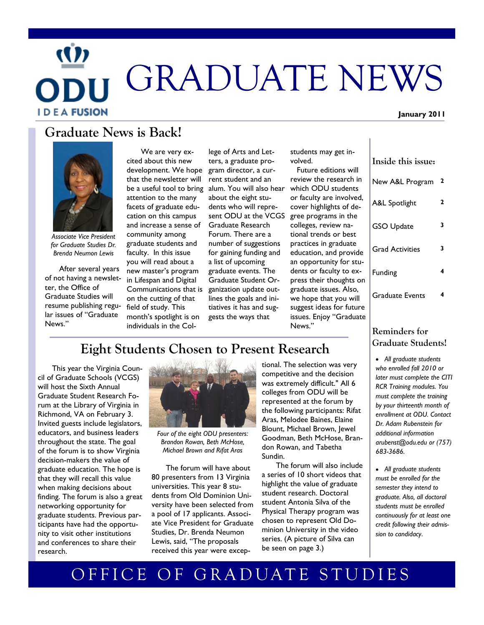# GRADUATE NEWS **I D E A FUSION**

## **Graduate News is Back!**



*Associate Vice President for Graduate Studies Dr. Brenda Neumon Lewis*

After several years of not having a newsletter, the Office of Graduate Studies will resume publishing regular issues of "Graduate News."

development. We hope gram director, a curbe a useful tool to bring alum. You will also hear We are very excited about this new that the newsletter will attention to the many facets of graduate education on this campus and increase a sense of community among graduate students and faculty. In this issue you will read about a new master's program in Lifespan and Digital Communications that is on the cutting of that field of study. This month's spotlight is on individuals in the Col-

lege of Arts and Letters, a graduate prorent student and an about the eight students who will represent ODU at the VCGS Graduate Research Forum. There are a number of suggestions for gaining funding and a list of upcoming graduate events. The Graduate Student Organization update outlines the goals and initiatives it has and suggests the ways that

students may get involved.

 Future editions will review the research in which ODU students or faculty are involved, cover highlights of degree programs in the colleges, review national trends or best practices in graduate education, and provide an opportunity for students or faculty to express their thoughts on graduate issues. Also, we hope that you will suggest ideas for future issues. Enjoy "Graduate News."

| Inside this issue:     |   |
|------------------------|---|
| New A&L Program        | 2 |
| A&L Spotlight          | 2 |
| <b>GSO Update</b>      | 3 |
| <b>Grad Activities</b> | 3 |
| Funding                | 4 |
| Graduate Events        | 4 |

#### **Reminders for Graduate Students!**

 *All graduate students who enrolled fall 2010 or later must complete the CITI RCR Training modules. You must complete the training by your thirteenth month of enrollment at ODU. Contact Dr. Adam Rubenstein for additional information arubenst@odu.edu or (757) 683-3686.*

 *All graduate students must be enrolled for the semester they intend to graduate. Also, all doctoral students must be enrolled continuously for at least one credit following their admission to candidacy*.

# **Eight Students Chosen to Present Research**

This year the Virginia Council of Graduate Schools (VCGS) will host the Sixth Annual Graduate Student Research Forum at the Library of Virginia in Richmond, VA on February 3. Invited guests include legislators, educators, and business leaders throughout the state. The goal of the forum is to show Virginia decision-makers the value of graduate education. The hope is that they will recall this value when making decisions about finding. The forum is also a great networking opportunity for graduate students. Previous participants have had the opportunity to visit other institutions and conferences to share their research.



*Four of the eight ODU presenters: Brandon Rowan, Beth McHose, Michael Brown and Rifat Aras*

The forum will have about 80 presenters from 13 Virginia universities. This year 8 students from Old Dominion University have been selected from a pool of 17 applicants. Associate Vice President for Graduate Studies, Dr. Brenda Neumon Lewis, said, "The proposals received this year were exceptional. The selection was very competitive and the decision was extremely difficult." All 6 colleges from ODU will be represented at the forum by the following participants: Rifat Aras, Melodee Baines, Elaine Blount, Michael Brown, Jewel Goodman, Beth McHose, Brandon Rowan, and Tabetha Sundin.

The forum will also include a series of 10 short videos that highlight the value of graduate student research. Doctoral student Antonia Silva of the Physical Therapy program was chosen to represent Old Dominion University in the video series. (A picture of Silva can be seen on page 3.)

# OFFICE OF GRADUATE STUDIES

#### **January 2011**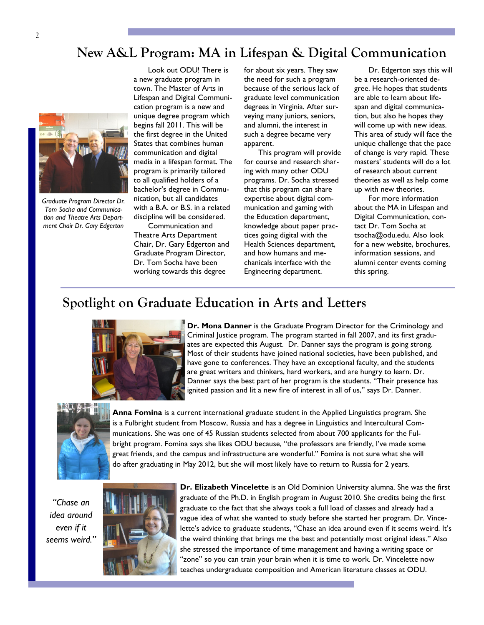#### 2

## **New A&L Program: MA in Lifespan & Digital Communication**



*Graduate Program Director Dr. Tom Socha and Communication and Theatre Arts Department Chair Dr. Gary Edgerton*

Look out ODU! There is a new graduate program in town. The Master of Arts in Lifespan and Digital Communication program is a new and unique degree program which begins fall 2011. This will be the first degree in the United States that combines human communication and digital media in a lifespan format. The program is primarily tailored to all qualified holders of a bachelor's degree in Communication, but all candidates with a B.A. or B.S. in a related discipline will be considered.

Communication and Theatre Arts Department Chair, Dr. Gary Edgerton and Graduate Program Director, Dr. Tom Socha have been working towards this degree

for about six years. They saw the need for such a program because of the serious lack of graduate level communication degrees in Virginia. After surveying many juniors, seniors, and alumni, the interest in such a degree became very apparent.

This program will provide for course and research sharing with many other ODU programs. Dr. Socha stressed that this program can share expertise about digital communication and gaming with the Education department, knowledge about paper practices going digital with the Health Sciences department, and how humans and mechanicals interface with the Engineering department.

Dr. Edgerton says this will be a research-oriented degree. He hopes that students are able to learn about lifespan and digital communication, but also he hopes they will come up with new ideas. This area of study will face the unique challenge that the pace of change is very rapid. These masters' students will do a lot of research about current theories as well as help come up with new theories.

For more information about the MA in Lifespan and Digital Communication, contact Dr. Tom Socha at tsocha@odu.edu. Also look for a new website, brochures, information sessions, and alumni center events coming this spring.

### **Spotlight on Graduate Education in Arts and Letters**



**Dr. Mona Danner** is the Graduate Program Director for the Criminology and Criminal Justice program. The program started in fall 2007, and its first graduates are expected this August. Dr. Danner says the program is going strong. Most of their students have joined national societies, have been published, and have gone to conferences. They have an exceptional faculty, and the students are great writers and thinkers, hard workers, and are hungry to learn. Dr. Danner says the best part of her program is the students. "Their presence has ignited passion and lit a new fire of interest in all of us," says Dr. Danner.



**Anna Fomina** is a current international graduate student in the Applied Linguistics program. She is a Fulbright student from Moscow, Russia and has a degree in Linguistics and Intercultural Communications. She was one of 45 Russian students selected from about 700 applicants for the Fulbright program. Fomina says she likes ODU because, "the professors are friendly, I've made some great friends, and the campus and infrastructure are wonderful." Fomina is not sure what she will do after graduating in May 2012, but she will most likely have to return to Russia for 2 years.

*"Chase an idea around even if it seems weird."*



**Dr. Elizabeth Vincelette** is an Old Dominion University alumna. She was the first graduate of the Ph.D. in English program in August 2010. She credits being the first graduate to the fact that she always took a full load of classes and already had a vague idea of what she wanted to study before she started her program. Dr. Vincelette's advice to graduate students, "Chase an idea around even if it seems weird. It's the weird thinking that brings me the best and potentially most original ideas." Also she stressed the importance of time management and having a writing space or "zone" so you can train your brain when it is time to work. Dr. Vincelette now teaches undergraduate composition and American literature classes at ODU.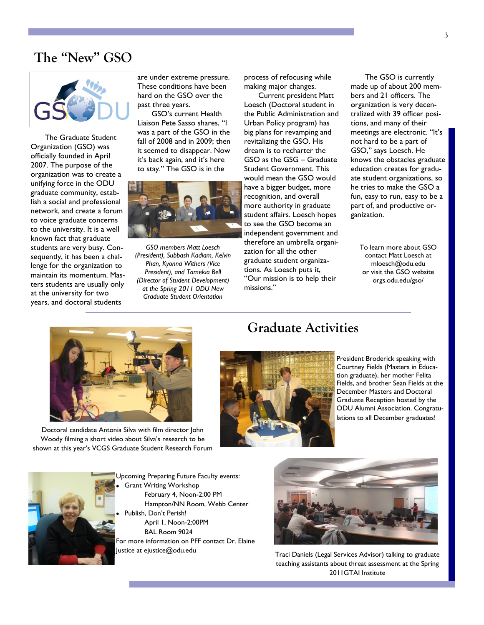#### **The "New" GSO**



The Graduate Student Organization (GSO) was officially founded in April 2007. The purpose of the organization was to create a unifying force in the ODU graduate community, establish a social and professional network, and create a forum to voice graduate concerns to the university. It is a well known fact that graduate students are very busy. Consequently, it has been a challenge for the organization to maintain its momentum. Masters students are usually only at the university for two years, and doctoral students

are under extreme pressure. These conditions have been hard on the GSO over the past three years.

GSO's current Health Liaison Pete Sasso shares, "I was a part of the GSO in the fall of 2008 and in 2009; then it seemed to disappear. Now it's back again, and it's here to stay." The GSO is in the



*GSO members Matt Loesch (President), Subbash Kadiam, Kelvin Phan, Kyonna Withers (Vice President), and Tamekia Bell (Director of Student Development) at the Spring 2011 ODU New Graduate Student Orientation*

process of refocusing while making major changes.

Current president Matt Loesch (Doctoral student in the Public Administration and Urban Policy program) has big plans for revamping and revitalizing the GSO. His dream is to recharter the GSO as the GSG – Graduate Student Government. This would mean the GSO would have a bigger budget, more recognition, and overall more authority in graduate student affairs. Loesch hopes to see the GSO become an independent government and therefore an umbrella organization for all the other graduate student organizations. As Loesch puts it, "Our mission is to help their missions."

The GSO is currently made up of about 200 members and 21 officers. The organization is very decentralized with 39 officer positions, and many of their meetings are electronic. "It's not hard to be a part of GSO," says Loesch. He knows the obstacles graduate education creates for graduate student organizations, so he tries to make the GSO a fun, easy to run, easy to be a part of, and productive organization.

To learn more about GSO contact Matt Loesch at mloesch@odu.edu or visit the GSO website orgs.odu.edu/gso/



Doctoral candidate Antonia Silva with film director John Woody filming a short video about Silva's research to be shown at this year's VCGS Graduate Student Research Forum

### **Graduate Activities**



President Broderick speaking with Courtney Fields (Masters in Education graduate), her mother Felita Fields, and brother Sean Fields at the December Masters and Doctoral Graduate Reception hosted by the ODU Alumni Association. Congratulations to all December graduates!



Upcoming Preparing Future Faculty events: Grant Writing Workshop February 4, Noon-2:00 PM Hampton/NN Room, Webb Center Publish, Don't Perish! April 1, Noon-2:00PM BAL Room 9024 For more information on PFF contact Dr. Elaine

Justice at ejustice@odu.edu



Traci Daniels (Legal Services Advisor) talking to graduate teaching assistants about threat assessment at the Spring 2011GTAI Institute